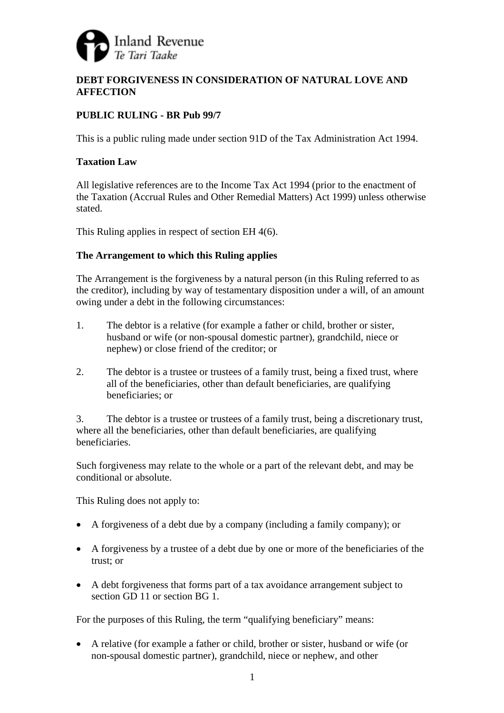

# **DEBT FORGIVENESS IN CONSIDERATION OF NATURAL LOVE AND AFFECTION**

# **PUBLIC RULING - BR Pub 99/7**

This is a public ruling made under section 91D of the Tax Administration Act 1994.

## **Taxation Law**

All legislative references are to the Income Tax Act 1994 (prior to the enactment of the Taxation (Accrual Rules and Other Remedial Matters) Act 1999) unless otherwise stated.

This Ruling applies in respect of section EH 4(6).

## **The Arrangement to which this Ruling applies**

The Arrangement is the forgiveness by a natural person (in this Ruling referred to as the creditor), including by way of testamentary disposition under a will, of an amount owing under a debt in the following circumstances:

- 1. The debtor is a relative (for example a father or child, brother or sister, husband or wife (or non-spousal domestic partner), grandchild, niece or nephew) or close friend of the creditor; or
- 2. The debtor is a trustee or trustees of a family trust, being a fixed trust, where all of the beneficiaries, other than default beneficiaries, are qualifying beneficiaries; or

3. The debtor is a trustee or trustees of a family trust, being a discretionary trust, where all the beneficiaries, other than default beneficiaries, are qualifying beneficiaries.

Such forgiveness may relate to the whole or a part of the relevant debt, and may be conditional or absolute.

This Ruling does not apply to:

- A forgiveness of a debt due by a company (including a family company); or
- A forgiveness by a trustee of a debt due by one or more of the beneficiaries of the trust; or
- A debt forgiveness that forms part of a tax avoidance arrangement subject to section GD 11 or section BG 1.

For the purposes of this Ruling, the term "qualifying beneficiary" means:

• A relative (for example a father or child, brother or sister, husband or wife (or non-spousal domestic partner), grandchild, niece or nephew, and other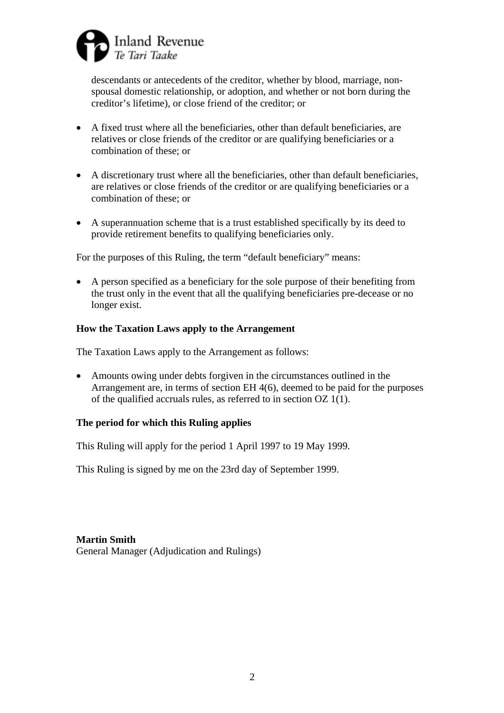

descendants or antecedents of the creditor, whether by blood, marriage, nonspousal domestic relationship, or adoption, and whether or not born during the creditor's lifetime), or close friend of the creditor; or

- A fixed trust where all the beneficiaries, other than default beneficiaries, are relatives or close friends of the creditor or are qualifying beneficiaries or a combination of these; or
- A discretionary trust where all the beneficiaries, other than default beneficiaries, are relatives or close friends of the creditor or are qualifying beneficiaries or a combination of these; or
- A superannuation scheme that is a trust established specifically by its deed to provide retirement benefits to qualifying beneficiaries only.

For the purposes of this Ruling, the term "default beneficiary" means:

• A person specified as a beneficiary for the sole purpose of their benefiting from the trust only in the event that all the qualifying beneficiaries pre-decease or no longer exist.

#### **How the Taxation Laws apply to the Arrangement**

The Taxation Laws apply to the Arrangement as follows:

• Amounts owing under debts forgiven in the circumstances outlined in the Arrangement are, in terms of section EH 4(6), deemed to be paid for the purposes of the qualified accruals rules, as referred to in section OZ 1(1).

#### **The period for which this Ruling applies**

This Ruling will apply for the period 1 April 1997 to 19 May 1999.

This Ruling is signed by me on the 23rd day of September 1999.

**Martin Smith**  General Manager (Adjudication and Rulings)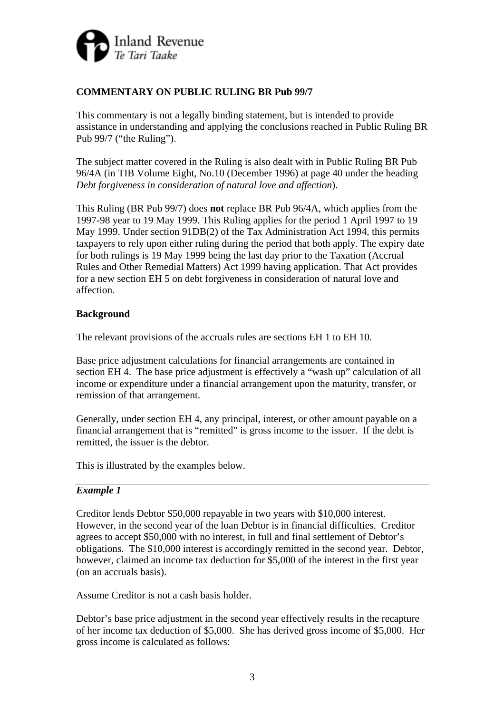

# **COMMENTARY ON PUBLIC RULING BR Pub 99/7**

This commentary is not a legally binding statement, but is intended to provide assistance in understanding and applying the conclusions reached in Public Ruling BR Pub 99/7 ("the Ruling").

The subject matter covered in the Ruling is also dealt with in Public Ruling BR Pub 96/4A (in TIB Volume Eight, No.10 (December 1996) at page 40 under the heading *Debt forgiveness in consideration of natural love and affection*).

This Ruling (BR Pub 99/7) does **not** replace BR Pub 96/4A, which applies from the 1997-98 year to 19 May 1999. This Ruling applies for the period 1 April 1997 to 19 May 1999. Under section 91DB(2) of the Tax Administration Act 1994, this permits taxpayers to rely upon either ruling during the period that both apply. The expiry date for both rulings is 19 May 1999 being the last day prior to the Taxation (Accrual Rules and Other Remedial Matters) Act 1999 having application. That Act provides for a new section EH 5 on debt forgiveness in consideration of natural love and affection.

### **Background**

The relevant provisions of the accruals rules are sections EH 1 to EH 10.

Base price adjustment calculations for financial arrangements are contained in section EH 4. The base price adjustment is effectively a "wash up" calculation of all income or expenditure under a financial arrangement upon the maturity, transfer, or remission of that arrangement.

Generally, under section EH 4, any principal, interest, or other amount payable on a financial arrangement that is "remitted" is gross income to the issuer. If the debt is remitted, the issuer is the debtor.

This is illustrated by the examples below.

### *Example 1*

Creditor lends Debtor \$50,000 repayable in two years with \$10,000 interest. However, in the second year of the loan Debtor is in financial difficulties. Creditor agrees to accept \$50,000 with no interest, in full and final settlement of Debtor's obligations. The \$10,000 interest is accordingly remitted in the second year. Debtor, however, claimed an income tax deduction for \$5,000 of the interest in the first year (on an accruals basis).

Assume Creditor is not a cash basis holder.

Debtor's base price adjustment in the second year effectively results in the recapture of her income tax deduction of \$5,000. She has derived gross income of \$5,000. Her gross income is calculated as follows: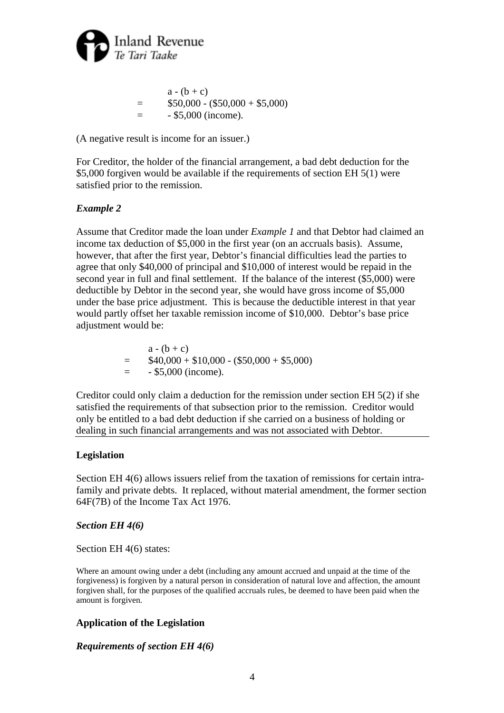

$$
a - (b + c)
$$
  
= \$50,000 - (\$50,000 + \$5,000)  
= - \$5,000 (income).

(A negative result is income for an issuer.)

For Creditor, the holder of the financial arrangement, a bad debt deduction for the \$5,000 forgiven would be available if the requirements of section EH 5(1) were satisfied prior to the remission.

### *Example 2*

Assume that Creditor made the loan under *Example 1* and that Debtor had claimed an income tax deduction of \$5,000 in the first year (on an accruals basis). Assume, however, that after the first year, Debtor's financial difficulties lead the parties to agree that only \$40,000 of principal and \$10,000 of interest would be repaid in the second year in full and final settlement. If the balance of the interest (\$5,000) were deductible by Debtor in the second year, she would have gross income of \$5,000 under the base price adjustment. This is because the deductible interest in that year would partly offset her taxable remission income of \$10,000. Debtor's base price adjustment would be:

> $a - (b + c)$  $=$  \$40,000 + \$10,000 - (\$50,000 + \$5,000)  $=$   $-$  \$5,000 (income).

Creditor could only claim a deduction for the remission under section EH 5(2) if she satisfied the requirements of that subsection prior to the remission. Creditor would only be entitled to a bad debt deduction if she carried on a business of holding or dealing in such financial arrangements and was not associated with Debtor.

### **Legislation**

Section EH 4(6) allows issuers relief from the taxation of remissions for certain intrafamily and private debts. It replaced, without material amendment, the former section 64F(7B) of the Income Tax Act 1976.

### *Section EH 4(6)*

Section EH  $4(6)$  states:

Where an amount owing under a debt (including any amount accrued and unpaid at the time of the forgiveness) is forgiven by a natural person in consideration of natural love and affection, the amount forgiven shall, for the purposes of the qualified accruals rules, be deemed to have been paid when the amount is forgiven.

# **Application of the Legislation**

### *Requirements of section EH 4(6)*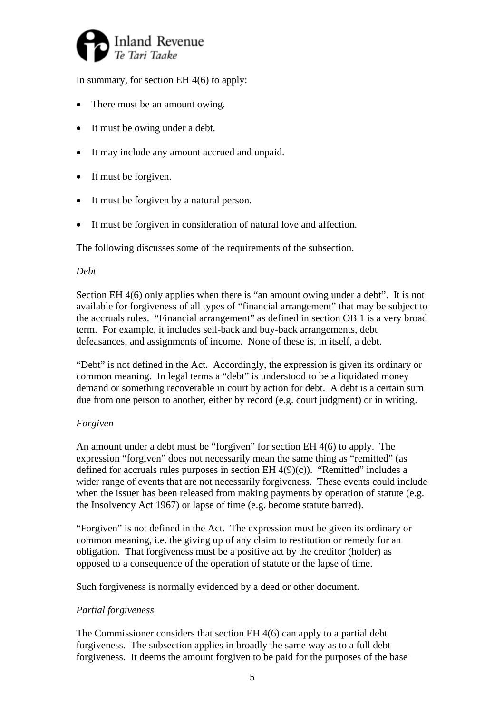

In summary, for section EH 4(6) to apply:

- There must be an amount owing.
- It must be owing under a debt.
- It may include any amount accrued and unpaid.
- It must be forgiven.
- It must be forgiven by a natural person.
- It must be forgiven in consideration of natural love and affection.

The following discusses some of the requirements of the subsection.

### *Debt*

Section EH 4(6) only applies when there is "an amount owing under a debt". It is not available for forgiveness of all types of "financial arrangement" that may be subject to the accruals rules. "Financial arrangement" as defined in section OB 1 is a very broad term. For example, it includes sell-back and buy-back arrangements, debt defeasances, and assignments of income. None of these is, in itself, a debt.

"Debt" is not defined in the Act. Accordingly, the expression is given its ordinary or common meaning. In legal terms a "debt" is understood to be a liquidated money demand or something recoverable in court by action for debt. A debt is a certain sum due from one person to another, either by record (e.g. court judgment) or in writing.

# *Forgiven*

An amount under a debt must be "forgiven" for section EH 4(6) to apply. The expression "forgiven" does not necessarily mean the same thing as "remitted" (as defined for accruals rules purposes in section EH  $4(9)(c)$ ). "Remitted" includes a wider range of events that are not necessarily forgiveness. These events could include when the issuer has been released from making payments by operation of statute (e.g. the Insolvency Act 1967) or lapse of time (e.g. become statute barred).

"Forgiven" is not defined in the Act. The expression must be given its ordinary or common meaning, i.e. the giving up of any claim to restitution or remedy for an obligation. That forgiveness must be a positive act by the creditor (holder) as opposed to a consequence of the operation of statute or the lapse of time.

Such forgiveness is normally evidenced by a deed or other document.

# *Partial forgiveness*

The Commissioner considers that section EH 4(6) can apply to a partial debt forgiveness. The subsection applies in broadly the same way as to a full debt forgiveness. It deems the amount forgiven to be paid for the purposes of the base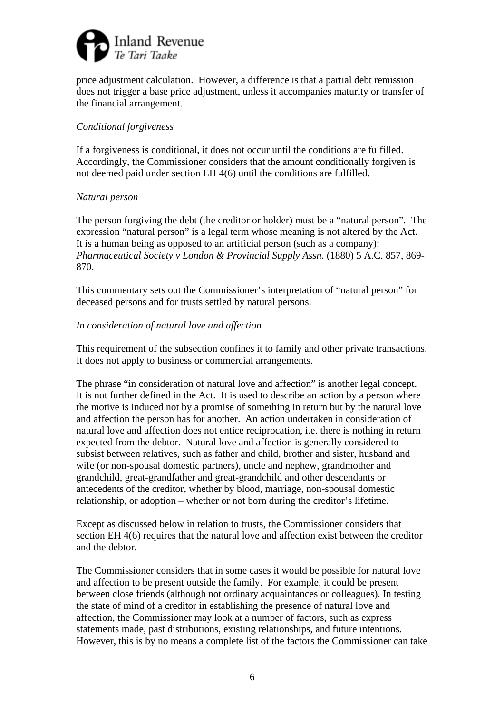

price adjustment calculation. However, a difference is that a partial debt remission does not trigger a base price adjustment, unless it accompanies maturity or transfer of the financial arrangement.

#### *Conditional forgiveness*

If a forgiveness is conditional, it does not occur until the conditions are fulfilled. Accordingly, the Commissioner considers that the amount conditionally forgiven is not deemed paid under section EH 4(6) until the conditions are fulfilled.

#### *Natural person*

The person forgiving the debt (the creditor or holder) must be a "natural person". The expression "natural person" is a legal term whose meaning is not altered by the Act. It is a human being as opposed to an artificial person (such as a company): *Pharmaceutical Society v London & Provincial Supply Assn.* (1880) 5 A.C. 857, 869- 870.

This commentary sets out the Commissioner's interpretation of "natural person" for deceased persons and for trusts settled by natural persons.

#### *In consideration of natural love and affection*

This requirement of the subsection confines it to family and other private transactions. It does not apply to business or commercial arrangements.

The phrase "in consideration of natural love and affection" is another legal concept. It is not further defined in the Act. It is used to describe an action by a person where the motive is induced not by a promise of something in return but by the natural love and affection the person has for another. An action undertaken in consideration of natural love and affection does not entice reciprocation, i.e. there is nothing in return expected from the debtor. Natural love and affection is generally considered to subsist between relatives, such as father and child, brother and sister, husband and wife (or non-spousal domestic partners), uncle and nephew, grandmother and grandchild, great-grandfather and great-grandchild and other descendants or antecedents of the creditor, whether by blood, marriage, non-spousal domestic relationship, or adoption – whether or not born during the creditor's lifetime.

Except as discussed below in relation to trusts, the Commissioner considers that section EH 4(6) requires that the natural love and affection exist between the creditor and the debtor.

The Commissioner considers that in some cases it would be possible for natural love and affection to be present outside the family. For example, it could be present between close friends (although not ordinary acquaintances or colleagues). In testing the state of mind of a creditor in establishing the presence of natural love and affection, the Commissioner may look at a number of factors, such as express statements made, past distributions, existing relationships, and future intentions. However, this is by no means a complete list of the factors the Commissioner can take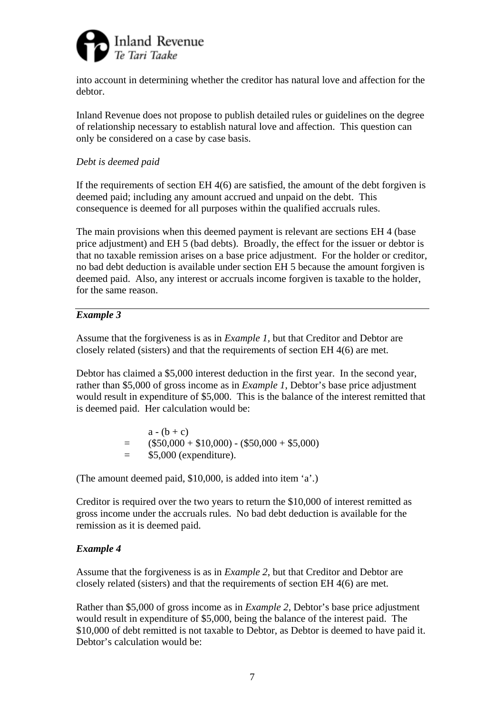

into account in determining whether the creditor has natural love and affection for the debtor.

Inland Revenue does not propose to publish detailed rules or guidelines on the degree of relationship necessary to establish natural love and affection. This question can only be considered on a case by case basis.

## *Debt is deemed paid*

If the requirements of section  $EH$  4(6) are satisfied, the amount of the debt forgiven is deemed paid; including any amount accrued and unpaid on the debt. This consequence is deemed for all purposes within the qualified accruals rules.

The main provisions when this deemed payment is relevant are sections EH 4 (base price adjustment) and EH 5 (bad debts). Broadly, the effect for the issuer or debtor is that no taxable remission arises on a base price adjustment. For the holder or creditor, no bad debt deduction is available under section EH 5 because the amount forgiven is deemed paid. Also, any interest or accruals income forgiven is taxable to the holder, for the same reason.

### *Example 3*

Assume that the forgiveness is as in *Example 1,* but that Creditor and Debtor are closely related (sisters) and that the requirements of section EH 4(6) are met.

Debtor has claimed a \$5,000 interest deduction in the first year. In the second year, rather than \$5,000 of gross income as in *Example 1*, Debtor's base price adjustment would result in expenditure of \$5,000. This is the balance of the interest remitted that is deemed paid. Her calculation would be:

> $a - (b + c)$  $=$   $($50,000 + $10,000) - ($50,000 + $5,000)$  $=$  \$5,000 (expenditure).

(The amount deemed paid, \$10,000, is added into item 'a'.)

Creditor is required over the two years to return the \$10,000 of interest remitted as gross income under the accruals rules. No bad debt deduction is available for the remission as it is deemed paid.

### *Example 4*

Assume that the forgiveness is as in *Example 2*, but that Creditor and Debtor are closely related (sisters) and that the requirements of section EH 4(6) are met.

Rather than \$5,000 of gross income as in *Example 2*, Debtor's base price adjustment would result in expenditure of \$5,000, being the balance of the interest paid. The \$10,000 of debt remitted is not taxable to Debtor, as Debtor is deemed to have paid it. Debtor's calculation would be: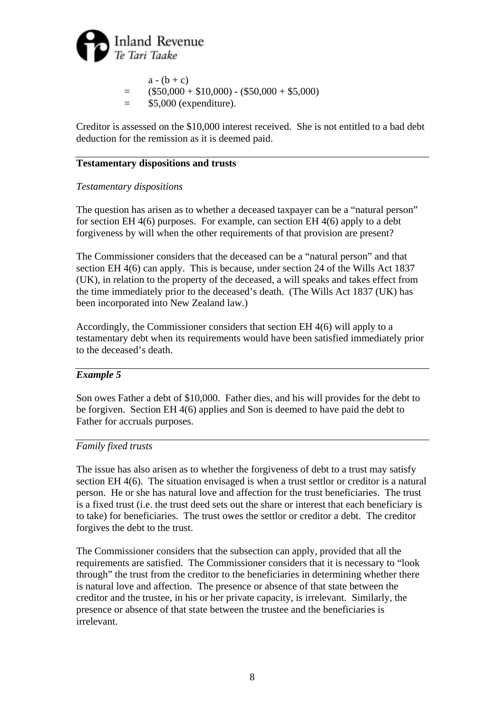

 $a - (b + c)$  $=$  (\$50,000 + \$10,000) - (\$50,000 + \$5,000)  $=$  \$5,000 (expenditure).

Creditor is assessed on the \$10,000 interest received. She is not entitled to a bad debt deduction for the remission as it is deemed paid.

## **Testamentary dispositions and trusts**

## *Testamentary dispositions*

The question has arisen as to whether a deceased taxpayer can be a "natural person" for section EH 4(6) purposes. For example, can section EH 4(6) apply to a debt forgiveness by will when the other requirements of that provision are present?

The Commissioner considers that the deceased can be a "natural person" and that section EH 4(6) can apply. This is because, under section 24 of the Wills Act 1837 (UK), in relation to the property of the deceased, a will speaks and takes effect from the time immediately prior to the deceased's death. (The Wills Act 1837 (UK) has been incorporated into New Zealand law.)

Accordingly, the Commissioner considers that section EH 4(6) will apply to a testamentary debt when its requirements would have been satisfied immediately prior to the deceased's death.

### *Example 5*

Son owes Father a debt of \$10,000. Father dies, and his will provides for the debt to be forgiven. Section EH 4(6) applies and Son is deemed to have paid the debt to Father for accruals purposes.

### *Family fixed trusts*

The issue has also arisen as to whether the forgiveness of debt to a trust may satisfy section EH 4(6). The situation envisaged is when a trust settlor or creditor is a natural person. He or she has natural love and affection for the trust beneficiaries. The trust is a fixed trust (i.e. the trust deed sets out the share or interest that each beneficiary is to take) for beneficiaries. The trust owes the settlor or creditor a debt. The creditor forgives the debt to the trust.

The Commissioner considers that the subsection can apply, provided that all the requirements are satisfied. The Commissioner considers that it is necessary to "look through" the trust from the creditor to the beneficiaries in determining whether there is natural love and affection. The presence or absence of that state between the creditor and the trustee, in his or her private capacity, is irrelevant. Similarly, the presence or absence of that state between the trustee and the beneficiaries is irrelevant.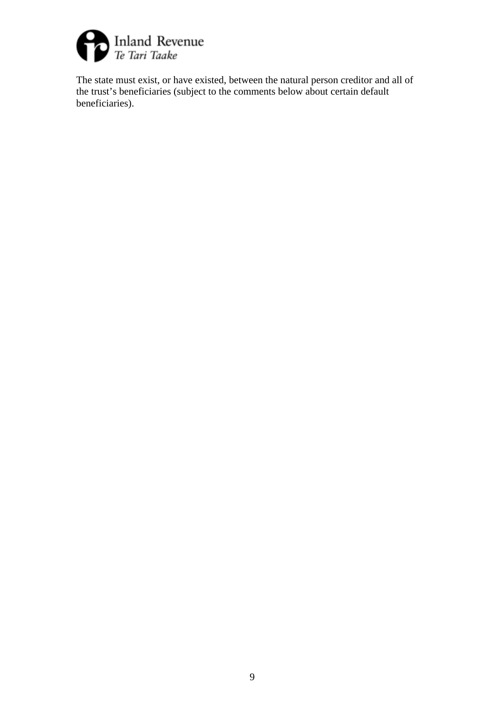

The state must exist, or have existed, between the natural person creditor and all of the trust's beneficiaries (subject to the comments below about certain default beneficiaries).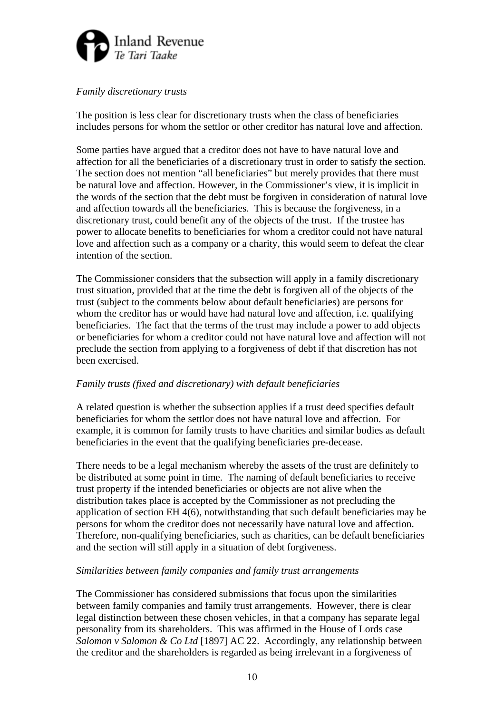

## *Family discretionary trusts*

The position is less clear for discretionary trusts when the class of beneficiaries includes persons for whom the settlor or other creditor has natural love and affection.

Some parties have argued that a creditor does not have to have natural love and affection for all the beneficiaries of a discretionary trust in order to satisfy the section. The section does not mention "all beneficiaries" but merely provides that there must be natural love and affection. However, in the Commissioner's view, it is implicit in the words of the section that the debt must be forgiven in consideration of natural love and affection towards all the beneficiaries. This is because the forgiveness, in a discretionary trust, could benefit any of the objects of the trust. If the trustee has power to allocate benefits to beneficiaries for whom a creditor could not have natural love and affection such as a company or a charity, this would seem to defeat the clear intention of the section.

The Commissioner considers that the subsection will apply in a family discretionary trust situation, provided that at the time the debt is forgiven all of the objects of the trust (subject to the comments below about default beneficiaries) are persons for whom the creditor has or would have had natural love and affection, i.e. qualifying beneficiaries. The fact that the terms of the trust may include a power to add objects or beneficiaries for whom a creditor could not have natural love and affection will not preclude the section from applying to a forgiveness of debt if that discretion has not been exercised.

### *Family trusts (fixed and discretionary) with default beneficiaries*

A related question is whether the subsection applies if a trust deed specifies default beneficiaries for whom the settlor does not have natural love and affection. For example, it is common for family trusts to have charities and similar bodies as default beneficiaries in the event that the qualifying beneficiaries pre-decease.

There needs to be a legal mechanism whereby the assets of the trust are definitely to be distributed at some point in time. The naming of default beneficiaries to receive trust property if the intended beneficiaries or objects are not alive when the distribution takes place is accepted by the Commissioner as not precluding the application of section EH 4(6), notwithstanding that such default beneficiaries may be persons for whom the creditor does not necessarily have natural love and affection. Therefore, non-qualifying beneficiaries, such as charities, can be default beneficiaries and the section will still apply in a situation of debt forgiveness.

### *Similarities between family companies and family trust arrangements*

The Commissioner has considered submissions that focus upon the similarities between family companies and family trust arrangements. However, there is clear legal distinction between these chosen vehicles, in that a company has separate legal personality from its shareholders. This was affirmed in the House of Lords case *Salomon v Salomon & Co Ltd* [1897] AC 22. Accordingly, any relationship between the creditor and the shareholders is regarded as being irrelevant in a forgiveness of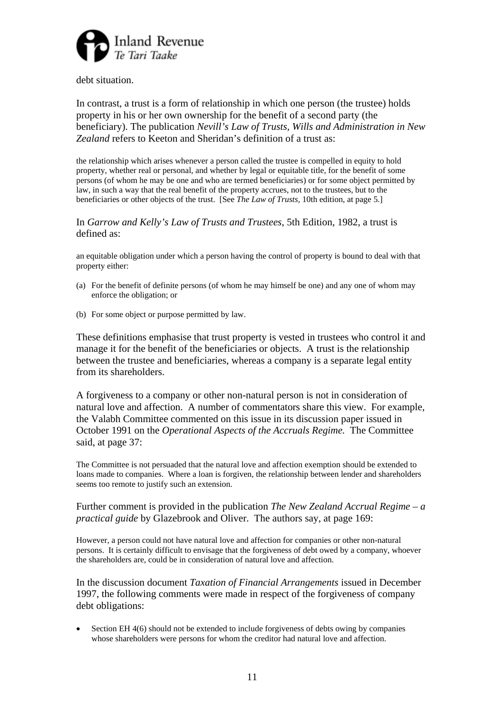

debt situation.

In contrast, a trust is a form of relationship in which one person (the trustee) holds property in his or her own ownership for the benefit of a second party (the beneficiary). The publication *Nevill's Law of Trusts, Wills and Administration in New Zealand* refers to Keeton and Sheridan's definition of a trust as:

the relationship which arises whenever a person called the trustee is compelled in equity to hold property, whether real or personal, and whether by legal or equitable title, for the benefit of some persons (of whom he may be one and who are termed beneficiaries) or for some object permitted by law, in such a way that the real benefit of the property accrues, not to the trustees, but to the beneficiaries or other objects of the trust. [See *The Law of Trusts,* 10th edition, at page 5.]

In *Garrow and Kelly's Law of Trusts and Trustees*, 5th Edition, 1982, a trust is defined as:

an equitable obligation under which a person having the control of property is bound to deal with that property either:

- (a) For the benefit of definite persons (of whom he may himself be one) and any one of whom may enforce the obligation; or
- (b) For some object or purpose permitted by law.

These definitions emphasise that trust property is vested in trustees who control it and manage it for the benefit of the beneficiaries or objects. A trust is the relationship between the trustee and beneficiaries, whereas a company is a separate legal entity from its shareholders.

A forgiveness to a company or other non-natural person is not in consideration of natural love and affection. A number of commentators share this view. For example, the Valabh Committee commented on this issue in its discussion paper issued in October 1991 on the *Operational Aspects of the Accruals Regime.* The Committee said, at page 37:

The Committee is not persuaded that the natural love and affection exemption should be extended to loans made to companies. Where a loan is forgiven, the relationship between lender and shareholders seems too remote to justify such an extension.

#### Further comment is provided in the publication *The New Zealand Accrual Regime – a practical guide* by Glazebrook and Oliver. The authors say, at page 169:

However, a person could not have natural love and affection for companies or other non-natural persons. It is certainly difficult to envisage that the forgiveness of debt owed by a company, whoever the shareholders are, could be in consideration of natural love and affection.

In the discussion document *Taxation of Financial Arrangements* issued in December 1997, the following comments were made in respect of the forgiveness of company debt obligations:

• Section EH 4(6) should not be extended to include forgiveness of debts owing by companies whose shareholders were persons for whom the creditor had natural love and affection.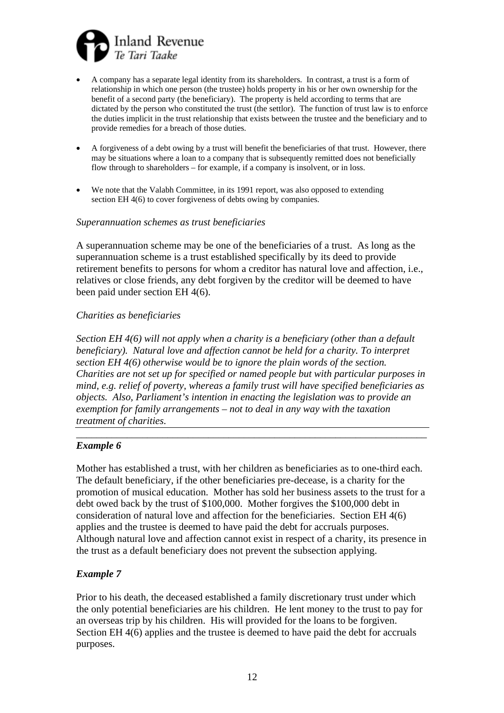

- A company has a separate legal identity from its shareholders. In contrast, a trust is a form of relationship in which one person (the trustee) holds property in his or her own ownership for the benefit of a second party (the beneficiary). The property is held according to terms that are dictated by the person who constituted the trust (the settlor). The function of trust law is to enforce the duties implicit in the trust relationship that exists between the trustee and the beneficiary and to provide remedies for a breach of those duties.
- A forgiveness of a debt owing by a trust will benefit the beneficiaries of that trust. However, there may be situations where a loan to a company that is subsequently remitted does not beneficially flow through to shareholders – for example, if a company is insolvent, or in loss.
- We note that the Valabh Committee, in its 1991 report, was also opposed to extending section EH 4(6) to cover forgiveness of debts owing by companies.

#### *Superannuation schemes as trust beneficiaries*

A superannuation scheme may be one of the beneficiaries of a trust. As long as the superannuation scheme is a trust established specifically by its deed to provide retirement benefits to persons for whom a creditor has natural love and affection, i.e., relatives or close friends, any debt forgiven by the creditor will be deemed to have been paid under section EH 4(6).

#### *Charities as beneficiaries*

*Section EH 4(6) will not apply when a charity is a beneficiary (other than a default beneficiary). Natural love and affection cannot be held for a charity. To interpret section EH 4(6) otherwise would be to ignore the plain words of the section. Charities are not set up for specified or named people but with particular purposes in mind, e.g. relief of poverty, whereas a family trust will have specified beneficiaries as objects. Also, Parliament's intention in enacting the legislation was to provide an exemption for family arrangements – not to deal in any way with the taxation treatment of charities.* 

\_\_\_\_\_\_\_\_\_\_\_\_\_\_\_\_\_\_\_\_\_\_\_\_\_\_\_\_\_\_\_\_\_\_\_\_\_\_\_\_\_\_\_\_\_\_\_\_\_\_\_\_\_\_\_\_\_\_\_\_\_\_\_\_\_\_\_\_\_

### *Example 6*

Mother has established a trust, with her children as beneficiaries as to one-third each. The default beneficiary, if the other beneficiaries pre-decease, is a charity for the promotion of musical education. Mother has sold her business assets to the trust for a debt owed back by the trust of \$100,000. Mother forgives the \$100,000 debt in consideration of natural love and affection for the beneficiaries. Section EH 4(6) applies and the trustee is deemed to have paid the debt for accruals purposes. Although natural love and affection cannot exist in respect of a charity, its presence in the trust as a default beneficiary does not prevent the subsection applying.

### *Example 7*

Prior to his death, the deceased established a family discretionary trust under which the only potential beneficiaries are his children. He lent money to the trust to pay for an overseas trip by his children. His will provided for the loans to be forgiven. Section EH 4(6) applies and the trustee is deemed to have paid the debt for accruals purposes.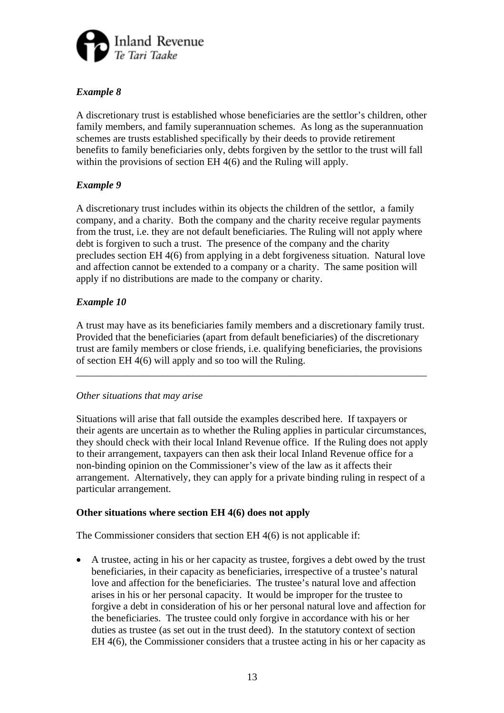

# *Example 8*

A discretionary trust is established whose beneficiaries are the settlor's children, other family members, and family superannuation schemes. As long as the superannuation schemes are trusts established specifically by their deeds to provide retirement benefits to family beneficiaries only, debts forgiven by the settlor to the trust will fall within the provisions of section EH 4(6) and the Ruling will apply.

# *Example 9*

A discretionary trust includes within its objects the children of the settlor, a family company, and a charity. Both the company and the charity receive regular payments from the trust, i.e. they are not default beneficiaries. The Ruling will not apply where debt is forgiven to such a trust. The presence of the company and the charity precludes section EH 4(6) from applying in a debt forgiveness situation. Natural love and affection cannot be extended to a company or a charity. The same position will apply if no distributions are made to the company or charity.

# *Example 10*

A trust may have as its beneficiaries family members and a discretionary family trust. Provided that the beneficiaries (apart from default beneficiaries) of the discretionary trust are family members or close friends, i.e. qualifying beneficiaries, the provisions of section EH 4(6) will apply and so too will the Ruling.

\_\_\_\_\_\_\_\_\_\_\_\_\_\_\_\_\_\_\_\_\_\_\_\_\_\_\_\_\_\_\_\_\_\_\_\_\_\_\_\_\_\_\_\_\_\_\_\_\_\_\_\_\_\_\_\_\_\_\_\_\_\_\_\_\_\_\_\_\_

# *Other situations that may arise*

Situations will arise that fall outside the examples described here. If taxpayers or their agents are uncertain as to whether the Ruling applies in particular circumstances, they should check with their local Inland Revenue office. If the Ruling does not apply to their arrangement, taxpayers can then ask their local Inland Revenue office for a non-binding opinion on the Commissioner's view of the law as it affects their arrangement. Alternatively, they can apply for a private binding ruling in respect of a particular arrangement.

# **Other situations where section EH 4(6) does not apply**

The Commissioner considers that section EH 4(6) is not applicable if:

• A trustee, acting in his or her capacity as trustee, forgives a debt owed by the trust beneficiaries, in their capacity as beneficiaries, irrespective of a trustee's natural love and affection for the beneficiaries. The trustee's natural love and affection arises in his or her personal capacity. It would be improper for the trustee to forgive a debt in consideration of his or her personal natural love and affection for the beneficiaries. The trustee could only forgive in accordance with his or her duties as trustee (as set out in the trust deed). In the statutory context of section EH 4(6), the Commissioner considers that a trustee acting in his or her capacity as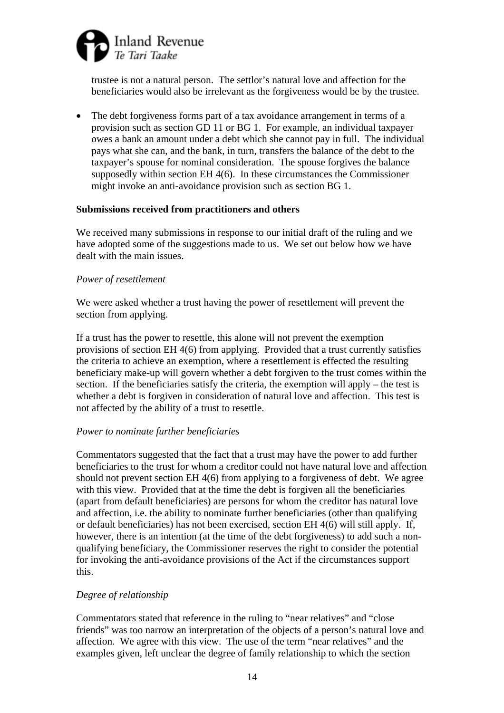

trustee is not a natural person. The settlor's natural love and affection for the beneficiaries would also be irrelevant as the forgiveness would be by the trustee.

• The debt forgiveness forms part of a tax avoidance arrangement in terms of a provision such as section GD 11 or BG 1. For example, an individual taxpayer owes a bank an amount under a debt which she cannot pay in full. The individual pays what she can, and the bank, in turn, transfers the balance of the debt to the taxpayer's spouse for nominal consideration. The spouse forgives the balance supposedly within section EH 4(6). In these circumstances the Commissioner might invoke an anti-avoidance provision such as section BG 1.

#### **Submissions received from practitioners and others**

We received many submissions in response to our initial draft of the ruling and we have adopted some of the suggestions made to us. We set out below how we have dealt with the main issues.

### *Power of resettlement*

We were asked whether a trust having the power of resettlement will prevent the section from applying.

If a trust has the power to resettle, this alone will not prevent the exemption provisions of section EH 4(6) from applying. Provided that a trust currently satisfies the criteria to achieve an exemption, where a resettlement is effected the resulting beneficiary make-up will govern whether a debt forgiven to the trust comes within the section. If the beneficiaries satisfy the criteria, the exemption will apply – the test is whether a debt is forgiven in consideration of natural love and affection. This test is not affected by the ability of a trust to resettle.

### *Power to nominate further beneficiaries*

Commentators suggested that the fact that a trust may have the power to add further beneficiaries to the trust for whom a creditor could not have natural love and affection should not prevent section EH 4(6) from applying to a forgiveness of debt. We agree with this view. Provided that at the time the debt is forgiven all the beneficiaries (apart from default beneficiaries) are persons for whom the creditor has natural love and affection, i.e. the ability to nominate further beneficiaries (other than qualifying or default beneficiaries) has not been exercised, section EH 4(6) will still apply. If, however, there is an intention (at the time of the debt forgiveness) to add such a nonqualifying beneficiary, the Commissioner reserves the right to consider the potential for invoking the anti-avoidance provisions of the Act if the circumstances support this.

### *Degree of relationship*

Commentators stated that reference in the ruling to "near relatives" and "close friends" was too narrow an interpretation of the objects of a person's natural love and affection. We agree with this view. The use of the term "near relatives" and the examples given, left unclear the degree of family relationship to which the section